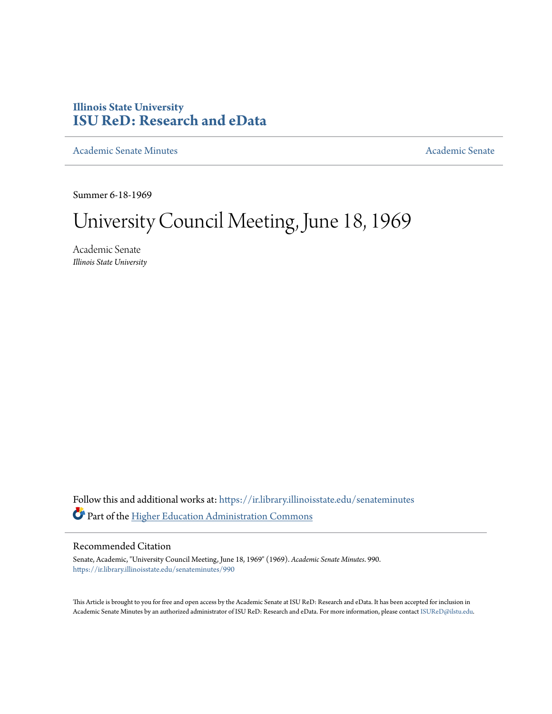# **Illinois State University [ISU ReD: Research and eData](https://ir.library.illinoisstate.edu?utm_source=ir.library.illinoisstate.edu%2Fsenateminutes%2F990&utm_medium=PDF&utm_campaign=PDFCoverPages)**

[Academic Senate Minutes](https://ir.library.illinoisstate.edu/senateminutes?utm_source=ir.library.illinoisstate.edu%2Fsenateminutes%2F990&utm_medium=PDF&utm_campaign=PDFCoverPages) [Academic Senate](https://ir.library.illinoisstate.edu/senate?utm_source=ir.library.illinoisstate.edu%2Fsenateminutes%2F990&utm_medium=PDF&utm_campaign=PDFCoverPages) Academic Senate

Summer 6-18-1969

# University Council Meeting, June 18, 1969

Academic Senate *Illinois State University*

Follow this and additional works at: [https://ir.library.illinoisstate.edu/senateminutes](https://ir.library.illinoisstate.edu/senateminutes?utm_source=ir.library.illinoisstate.edu%2Fsenateminutes%2F990&utm_medium=PDF&utm_campaign=PDFCoverPages) Part of the [Higher Education Administration Commons](http://network.bepress.com/hgg/discipline/791?utm_source=ir.library.illinoisstate.edu%2Fsenateminutes%2F990&utm_medium=PDF&utm_campaign=PDFCoverPages)

# Recommended Citation

Senate, Academic, "University Council Meeting, June 18, 1969" (1969). *Academic Senate Minutes*. 990. [https://ir.library.illinoisstate.edu/senateminutes/990](https://ir.library.illinoisstate.edu/senateminutes/990?utm_source=ir.library.illinoisstate.edu%2Fsenateminutes%2F990&utm_medium=PDF&utm_campaign=PDFCoverPages)

This Article is brought to you for free and open access by the Academic Senate at ISU ReD: Research and eData. It has been accepted for inclusion in Academic Senate Minutes by an authorized administrator of ISU ReD: Research and eData. For more information, please contact [ISUReD@ilstu.edu.](mailto:ISUReD@ilstu.edu)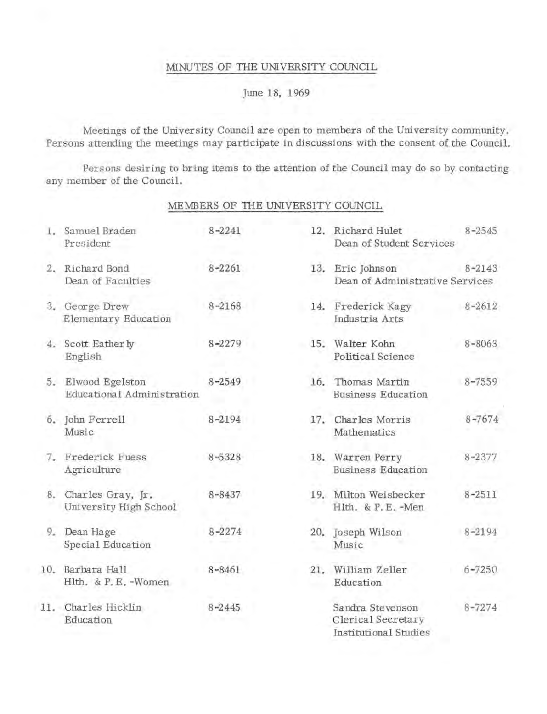# :MINUTES OF THE UNIVERSITY COUNCIL

# June 18, 1969

Meetings of the University Council are open to members of the University community. Persons attending the meetings may participate in discussions with the consent of the Council.

Persons desiring to bring items to the attention of the Council may do so by contacting any member of the Council.

# MEMBERS OF THE UNIVERSITY COUNCIL

| 1. Samuel Braden<br>President                    | $8 - 2241$ | 12. Richard Hulet<br>Dean of Student Services                   | $8 - 2545$ |
|--------------------------------------------------|------------|-----------------------------------------------------------------|------------|
| 2. Richard Bond<br>Dean of Faculties             | $8 - 2261$ | 13. Eric Johnson<br>Dean of Administrative Services             | $8 - 2143$ |
| 3. George Drew<br>Elementary Education           | $8 - 2168$ | 14. Frederick Kagy<br>Industria Arts                            | $8 - 2612$ |
| 4. Scott Eatherly<br>English                     | $8 - 2279$ | 15. Walter Kohn<br>Political Science                            | $8 - 8063$ |
| 5. Elwood Egelston<br>Educational Administration | $8 - 2549$ | 16. Thomas Martin<br><b>Business Education</b>                  | $8 - 7559$ |
| 6. John Ferrell<br>Music                         | 8-2194     | 17. Charles Morris<br>Mathematics                               | $8 - 7674$ |
| 7. Frederick Fuess<br>Agriculture                | $8 - 5328$ | 18. Warren Perry<br><b>Business Education</b>                   | $8 - 2377$ |
| 8. Charles Gray, Jr.<br>University High School   | $8 - 8437$ | 19. Milton Weisbecker<br>Hlth. & P.E.-Men                       | $8 - 2511$ |
| 9. Dean Hage<br>Special Education                | $8 - 2274$ | 20. Joseph Wilson<br>Music                                      | $8 - 2194$ |
| 10. Barbara Hall<br>Hlth. & P.E.-Women           | $8 - 8461$ | 21. William Zeller<br>Education                                 | $6 - 7250$ |
| 11. Charles Hicklin<br>Education                 | $8 - 2445$ | Sandra Stevenson<br>Clerical Secretary<br>Institutional Studies | $8 - 7274$ |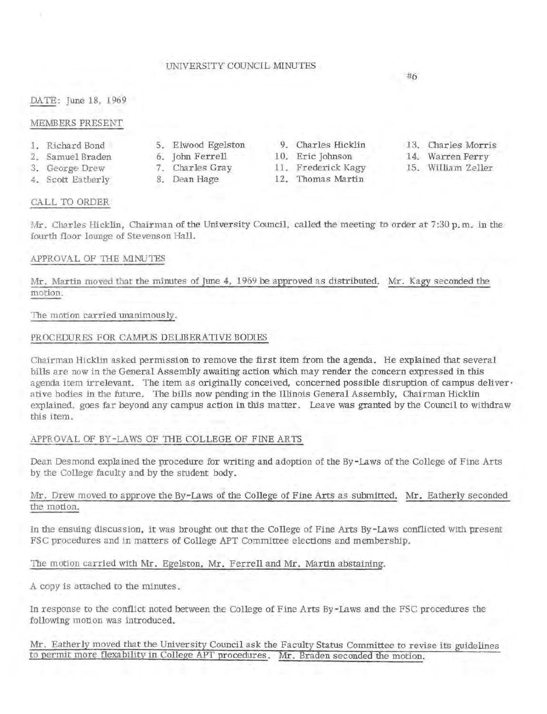### UNIVERSITY COUNCIL MINUTES

#6

DATE: June 18, 1969

#### MEMBERS PRESENT

- 1. Richard Bond
- 2. Samuel Braden
- 3. George Drew
- 4. Scott Eatherly

- 
- 
- 

5. Elwood Egelston 9. Charles Hicklin 13. Charles Morris

- 6. John Ferrell 10. Eric Johnson 14. Warren Perry<br>7. Charles Gray 11. Frederick Kagy 15. William Zeller
	- 11. Frederick Kagy 15. William Zeller
- 8. Dean Hage 12. Thomas Martin
- 
- 
- 

### CALL TO ORDER

Mr. Charles Hicklin, Chairman of the University Council, called the meeting to order at 7:30 p.m. in the fourth floor lounge of Stevenson Hall.

### APPROVAL OF THE MINUTES

Mr. Martin moved that the minutes of June 4, 1969 be approved as distributed. Mr. Kagy seconded the motion.

### The motion carried unanimously.

### PROCEDURES FOR CAMPUS DELIBERATIVE BODIES

Chairman Hicklin asked permission to remove the first item from the agenda. He explained that several bills are now in the General Assembly awaiting action which may render the concern expressed in this agenda item irrelevant. The item as originally conceived, concerned possible disruption of campus deliver· ative bodies in the future. The bills now pending in the Illinois General Assembly, Chairman Hicklin explained, goes far beyond any campus action in this matter. Leave was granted by the Council to withdraw this item.

# APPROVAL OF BY-LAWS OF THE COLLEGE OF FINE ARTS

Dean Desmond explained the procedure for writing and adoption of the By-Laws of the College of Fine Arts by the College faculty and by the student body.

## Mr. Drew moved to approve the By-Laws of the College of Fine Arts as submitted. Mr. Eatherly seconded the motion.

In the ensuing discussion, it was brought out that the College of Fine Arts By-Laws conflicted with present FSC procedures and in matters of College APT Committee elections and membership.

The motion carried with Mr. Egelston, Mr. Ferrell and Mr. Martin abstaining.

A copy is attached to the minutes.

In response to the conflict noted between the College of Fine Arts By-Laws and the FSC procedures the following motion was introduced.

Mr. Eatherly moved that the University Council ask the Faculty Status Committee to revise its guidelines to permit more flexability in College APT procedures. Mr. Braden seconded the motion.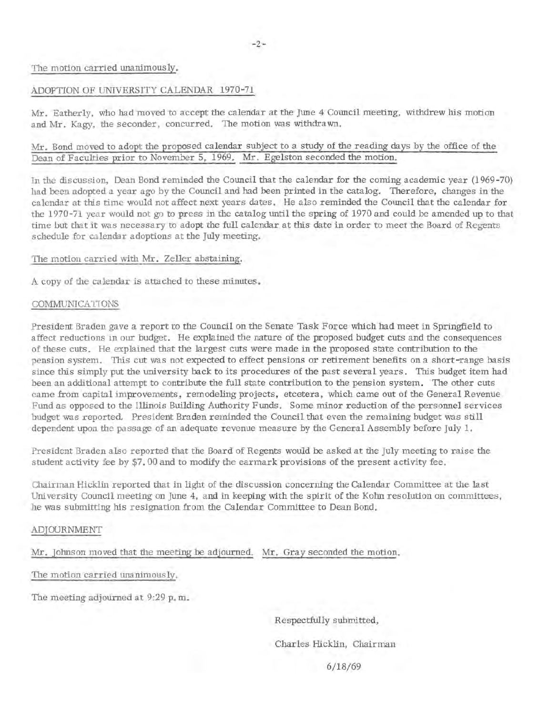#### The motion carried unanimously.

#### ADOPTION OF UNIVERSITY CALENDAR 1970-71

Mr. Eatherly, who had moved to accept the calendar at the June 4 Council meeting, withdrew his motion and Mr. Kagy, the seconder, concurred. The motion was withdrawn.

# Mr. Bond moved to adopt the proposed calendar subject to a study of the reading days by the office of the Dean of Faculties prior to November 5, 1969. Mr. Egelston seconded the motion.

In the discussion, Dean Bond reminded the Council that the calendar for the coming academic year (1969-70) had been adopted a year ago by the Council and had been printed in the catalog. Therefore, changes in the calendar at this time would not affect next years dates. He also reminded the Council that the calendar for the 1970-71 year would not go to press in the catalog until the spring of 1970 and could be amended up to that time but that it was necessary to adopt the full calendar at this date in order to meet the Board of Regents schedule for calendar adoptions at the July meeting.

#### The motion carried with Mr. Zeller abstaining.

A copy of the calendar is atrached to these minutes.

#### COMMUNICATIONS

President Braden gave a report to the Council on the Senate Task Force which had meet in Springfield to affect reductions in our budget. He explained the nature of the proposed budget cuts and the consequences of these cuts. He explained that the largest cuts were made in the proposed state contribution to the pension system. This cut was not expected to effect pensions or retirement benefits on a short-range basis since this simply put the university back to its procedures of the past several years. This budget item had been an additional attempt to contribute the full state contribution to the pension system. The other cuts came from capital improvements, remodeling projects, etcetera, which came out of the General Revenue Fund as opposed to the Illinois Building Authority Funds. Some minor reduction of the personnel services budget was reported. President Braden reminded the Council that even the remaining budget was still dependent upon the passage of an adequate revenue measure by the General Assembly before July 1.

President Braden also reported that the Board of Regents would be asked at the July meeting to raise the student activity fee by \$7. 00 and to modify the earmark provisions of the present activity fee.

Chairman Hicklin reported that in light of the discussion concerning the Calendar Committee at the last University Council meeting on June 4, and in keeping with the spirit of the Kohn resolution on committees, he was submitting his resignation from the Calendar Committee to Dean Bond.

#### ADJOURNMENT

Mr. Johnson moved that the meeting be adjourned. Mr. Gray seconded the motion.

The motion carried unanimously.

The meeting adjourned at 9:29 p. m.

Respectfully submitted,

Charles Hicklin, Chairman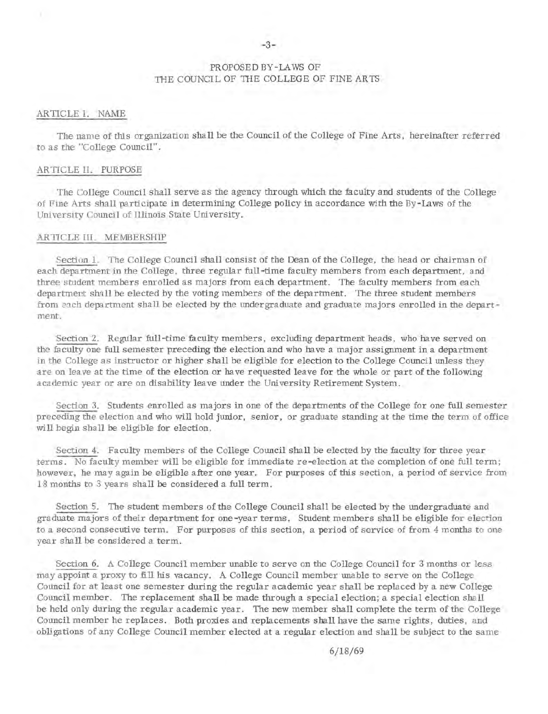## PROPOSED BY-LAWS OF THE COUNCIL OF THE COLLEGE OF FINE ARTS

#### AR TIC LE I. NAME

The name of this organization shall be the Council of the College of Fine Arts, hereinafter referred to as the "College Council".

#### ARTICLE II. PURPOSE

The College Council shall serve as the agency through which the faculty and students of the College of Fine Arts shall participate in determining College policy in accordance with the By-Laws of the University Council of Illinois State University.

#### ARTICLE III. MEMBERSHIP

Section 1. The College Council shall consist of the Dean of the College, the head or chairman of each department in the College, three regular full-time faculty members from each department, and three student members enrolled as majors from each department. The faculty members from each department shall be elected by the voting members of the department. The three student members from each department shall be elected by the undergraduate and graduate majors enrolled in the department.

Section 2. Regular full-time faculty members, excluding department heads, who have served on the faculty one full semester preceding the election and who have a major assignment in a department in the College as instructor or higher shall be eligible for election to the College Council unless they are on leave at the time of the election or have requested leave for the whole or part of the following academic year or are on disability leave under the University Retirement System.

Section 3. Students enrolled as majors in one of the departments of the College for one full semester preceding the election and who will hold junior, senior, or graduate standing at the time the term of office will begin shall be eligible for election.

Section 4. Faculty members of the College Council shall be elected by the faculty for three year terms. No faculty member will be eligible for immediate re-election at the completion of one full term; however, he may again be eligible a fter one year. For purposes of this section, a period of service from 18 months to 3 years shall be considered a full term.

Section 5. The student members of the College Council shall be elected by the undergraduate and graduate majors of their department for one-year terms. Student members shall be eligible for election to a second consecutive term. For purposes of this section, a period of service of from 4 months to one year shall be considered a term.

Section 6. A College Council member unable to serve on the College Council for 3 months or less may appoint a proxy to fill his vacancy. A College Council member unable to serve on the College Council for at least one semester during the regular academic year shall be replaced by a new College Council member. The replacement shall be made through a special election; a special election shall be held only during the regular academic year. The new member shall complete the term of the College Council member he replaces. Both proxies and replacements shall have the same rights, duties, and obligations of any College Council member elected at a regular election and shall be subject to the same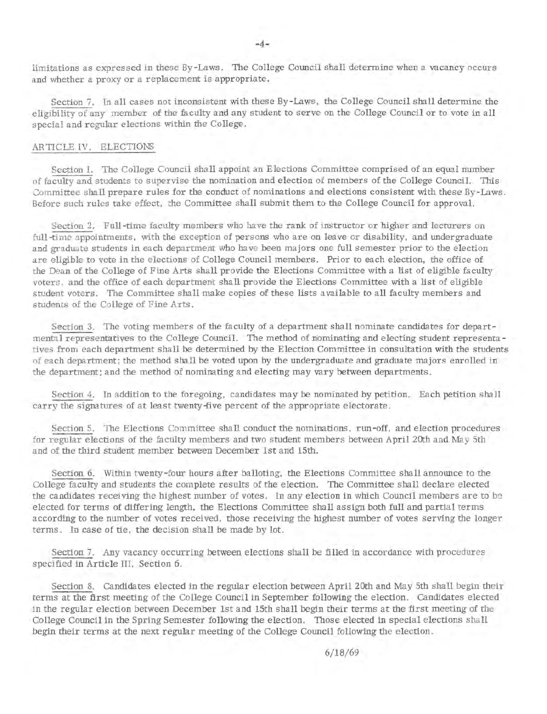limitations as expressed in these By-Laws. The College Council shall determine when a vacancy occurs and whether a proxy or a replacement is appropriate.

Section 7. In all cases not inconsistent with these By-Laws, the College Council shall determine the eligibility of any member of the faculty and any student to serve on the College Council or to vote in all special and regular elections within the College.

#### AR TICLE IV. ELECTIONS

Section I. The College Council shall appoint an Elections Committee comprised of an equal number of faculty and students to supervise the nomination and election of members of the College Council. This Committee shall prepare rules for the conduct of nominations and elections consistent with these By-Laws. Before such rules take effect, the Committee shall submit them to the College Council for approval.

Section 2. Full-time faculty members who have the rank of instructor or higher and lecturers on full-time appointments, with the exception of persons who are on leave or disability, and undergraduate and graduate students in each department who have been majors one full semester prior to the election are eligible to vote in the elections of College Council members. Prior to each election, the office of the Dean of the College of Fine Arts shall provide the Elections Committee with a list of eligible faculty voters, and the office of each department shall provide the Elections Committee with a list of eligible student voters. The Committee shall make copies of these lists available to all faculty members and students of the College of Fine Arts.

Section 3. The voting members of the faculty of a department shall nominate candidates for departmental representatives to the College Council. The method of nominating and electing student representa tives from each department shall be determined by the Election Committee in consultation with the students of each department; the method shall be voted upon by the undergraduate and graduate majors enrolled in the department; and the method of nominating and electing may vary between departments.

Section 4. In addition to the foregoing, candidates may be nominated by petition. Each petition shall carry the signatures of at least twenty-five percent of the appropriate electorate.

Section 5. The Elections Committee shall conduct the nominations, run-off, and election procedures for regular elections of the faculty members and two student members between April 20th and May 5th and of the third student member between December 1st and 15th.

Section 6. Within twenty-four hours after balloting, the Elections Committee shall announce to the College faculty and students the complete results of the election. The Committee shall declare elected the candidates receiving the highest number of votes. In any election in which Council members are to be elected for terms of differing length, the Elections Committee shall assign both full and partial terms according to the number of votes received, those receiving the highest number of votes serving the longer terms. In case of tie, the decision shall be made by lot.

Section 7. Any vacancy occurring between elections shall be filled in accordance with procedures specified in Article III, Section 6.

Section 8. Candidates elected in the regular election between April 20th and May 5th shall begin their terms at the first meeting of the College Council in September following the election. Candidates elected in the regular election between December 1st and 15th shall begin their terms at the first meeting of the College Council in the Spring Semester following the election. Those elected in special elections shall begin their terms at the next regular meeting of the College Council following the election.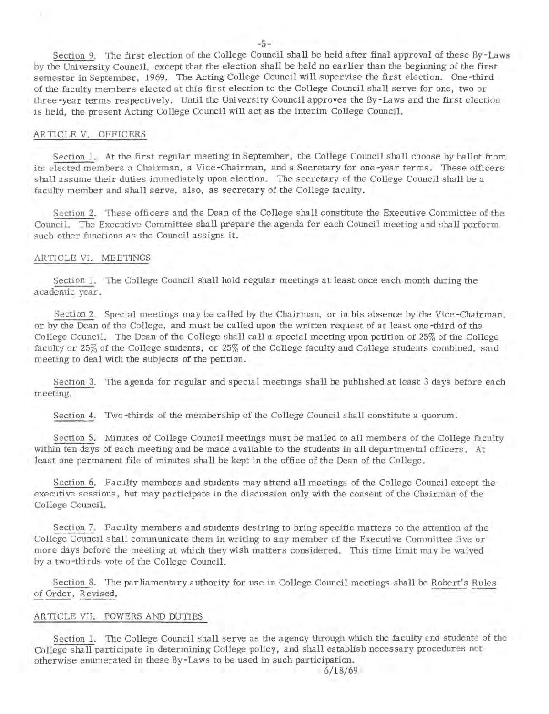Section 9. The first election of the College Council shall be held after final approval of these By-Laws by the University Council, except that the election shall be held no earlier than the beginning of the first semester in September, 1969. The Acting College Council will supervise the first election. One -third of the faculty members elected at this first election to the College Council shall serve for one, two or three -year terms respectively. Until the University Council approves the By-Laws and the first election is held, the present Acting College Council will act as the interim College Council.

#### ARTICLE V. OFFICERS

Section 1. At the first regular meeting in September, the College Council shall choose by ballot from its elected members a Chairman, a Vice -Chairman, and a Secretary for one -year terms. These officers shall assume their duties immediately upon election. The secretary of the College Council shall be a faculty member and shall serve, also, as secretary of the College faculty.

Section 2. These officers and the Dean of the College shall constitute the Executive Committee of the Council. The Executive Committee shall prepare the agenda for each Council meeting and shall perform such other functions as the Council assigns it.

#### ARTICLE VI. MEETINGS

Section 1. The College Council shall hold regular meetings at least once each month during the academic year.

Section 2. Special meetings may be called by the Chairman, or in his absence by the Vice -Chairman, or by the Dean of the College, and must be called upon the written request of at least one -third of the College Council. The Dean of the College shall call a special meeting upon petition of 25% of the College faculty or 25% of the College students, or 25% of the College faculty and College students combined, said meeting to deal with the subjects of the petition.

Section 3. The agenda for regular and special meetings shall be published at least 3 days before each meeting.

Section 4. Two -thirds of the membership of the College Council shall constitute a quorum.

Section 5. Minutes of College Council meetings must be mailed to all members of the College faculty within ten days of each meeting and be made available to the students in all departmental officers. At least one permanent file of minutes shall be kept in the office of the Dean of the College.

Section 6. Faculty members and students may attend all meetings of the College Council except the executive sessions, but may participate in the discussion only with the consent of the Chairman of the College Council.

Section 7. Faculty members and students desiring to bring specific matters to the attention of the College Council shall communicate them in writing to any member of the Executive Committee five or more days before the meeting at which they wish matters considered. This time limit may be waived by a two -thirds vote of the College Council.

Section 8. The parliamentary authority for use in College Council meetings shall be Robert's Rules Section 8. The parliamentary authority for use in College Council meetings shall be <u>Robert's Rules</u> of Order, Revised.

#### ARTICLE VII. POWERS AND DUTIES

Section 1. The College Council shall serve as the agency through which the faculty and students of the College shall participate in determining College policy, and shall establish necessary procedures not otherwise enumerated in these By-Laws to be used in such participation.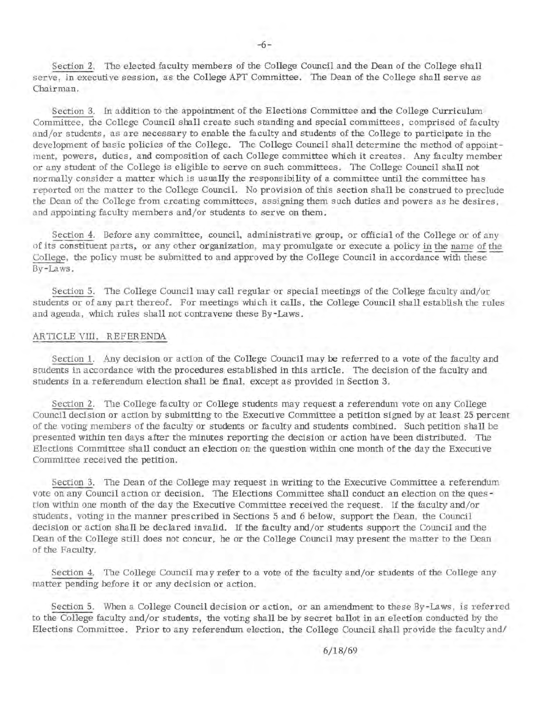Section 2. The elected faculty members of the College Council and the Dean of the College shall serve, in executive session, as the College APT Committee. The Dean of the College shall serve as Chairman.

Section 3. In addition to the appointment of the Elections Committee and the College Curriculum Committee, the College Council shall create such standing and special committees, comprised of faculty and/or students, as are necessary to enable the faculty and students of the College to participate in the development of basic policies of the College. The College Council shall determine the method of appointment, powers, duties, and composition of each College committee which it creates. Any faculty member or any student of the College is eligible to serve on such committees. The College Council shall not normally consider a matter which is usually the responsibility of a committee until the committee has reported on the matter to the College Council. No provision of this section shall be construed to preclude the Dean of the College from creating committees, assigning them such duties and powers as he desires, and appointing faculty members and/or students to serve on them.

Section 4. Before any committee, council, administrative group, or official of the College or of any of its constituent parts, or any other organization, may promulgate or execute a policy in the name of the College, the policy must be submitted to and approved by the College Council in accordance with these-By-Laws.

Section 5. The College Council may call regular or special meetings of the College faculty and/or students or of any part thereof. For meetings which it calls, the College Council shall establish the rules and agenda, which rules shall not contravene these By-Laws.

#### ARTICLE VIII. REFERENDA

Section 1. Any decision or action of the College Council may be referred to a vote of the faculty and students in accordance with the procedures established in this article. The decision of the faculty and students in a referendum election shall be final, except as provided in Section 3.

Section 2. The College faculty or College students may request a referendum vote on any College Council decision or action by submitting to the Executive Committee a petition signed by at least 25 percent of the voting members of the faculty or students or faculty and students combined. Such petition shall be presented within ten days after the minutes reporting the decision or action have been distributed. The Elections Committee shall conduct an election on the question within one month of the day the Executive Committee received the petition.

Section 3. The Dean of the College may request in writing to the Executive Committee a referendum vote on any Council action or decision. The Elections Committee shall conduct an election on the ques tion within one month of the day the Executive Committee received the request. If the faculty and/or students, voting in the manner prescribed in Sections 5 and 6 below, support the Dean, the Council decision or action shall be declared invalid. If the faculty and/or students support the Council and the Dean of the College still does not concur, he or the College Council may present the matter to the Dean of the Faculty.

Section 4. The College Council may refer to a vote of the faculty and/or students of the College any matter pending before it or any decision or action.

Section 5. When a College Council decision or action, or an amendment to these By-Laws, is referred to the College faculty and/or students, the voting shall be by secret ballot in an: e lection conducted by the Elections Committee. Prior to any referendum election, the College Council shall provide the faculty and/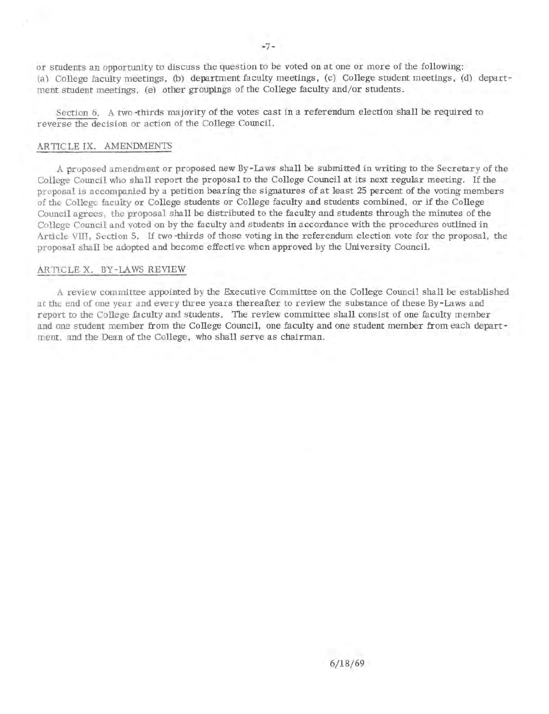or students an opportunity to discuss the question to be voted on at one or more of the following: (a) College faculty meetings, (b) department faculty meetings, (c) College student meetings, (d) department student meetings, (e) other groupings of the College faculty and/or students.

Section 6. A two -thirds majority of the votes cast in a referendum election shall be required to reverse the decision or action of the College Council.

#### ARTICLE IX. AMENDMENTS

A proposed amendment or proposed new By-Laws shall be submitted in writing to the Secretary of the College Council who shall report the proposal to the College Council at its next regular meeting. If the proposal is accompanied by a petition bearing the signatures of at least 25 percent of the voting members of the College faculty or College students or College faculty and students combined, or if the College Council agrees, the proposal shall be distributed to the faculty and students through the minutes of the College Council and voted on by the faculty and students in accordance with the procedures outlined in Article VIII, Section 5. If two-thirds of those voting in the referendum election vote for the proposal, the proposal shall be adopted and become effective when approved by the University Council.

#### ARTICLE X. BY -LAWS REVIEW

A review committee appointed by the Executive Committee on the College Council shall be established at the end of one year and every three years thereafter to review the substance of these By-Laws and report to the College faculty and students. The review committee shall consist of one faculty member and one student member from the College Council, one faculty and one student member from each depart ment, and the Dean of the College, who shall serve as chairman.